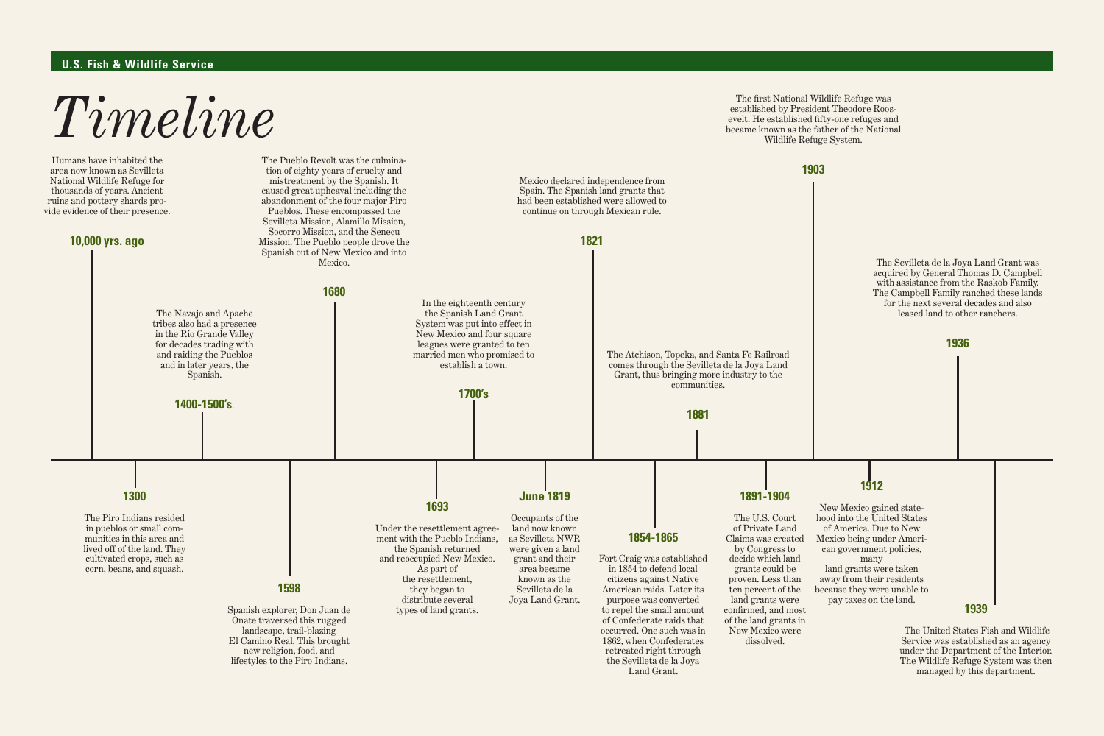

## **U.S. Fish & Wildlife Service**

Service was established as an agency under the Department of the Interior.